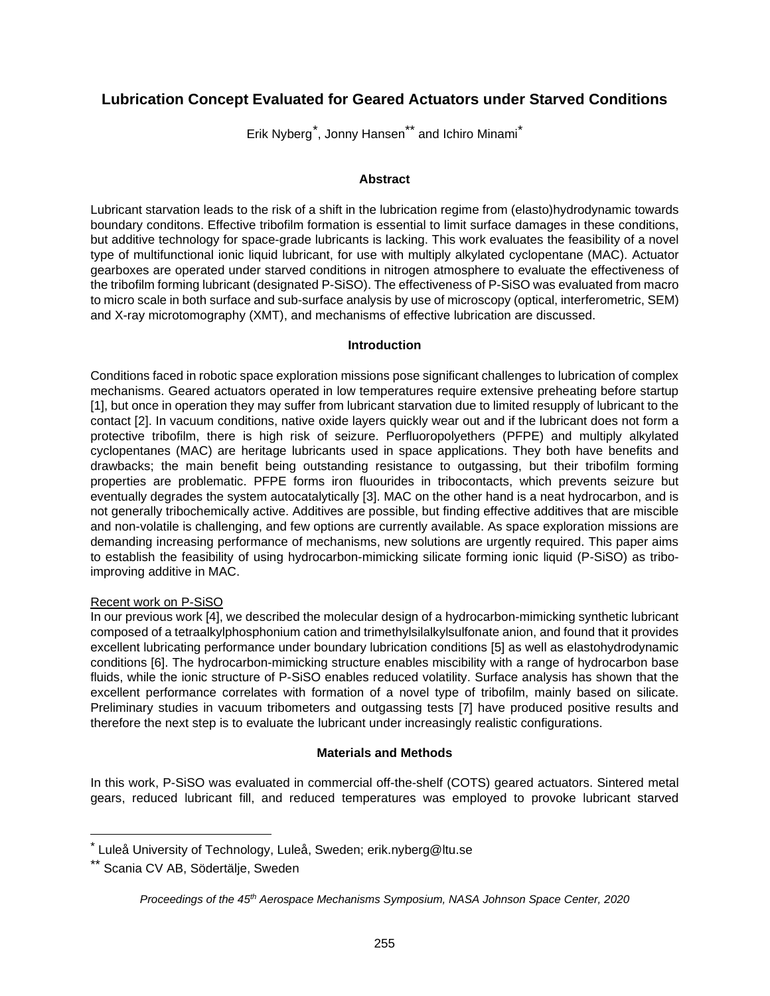# **Lubrication Concept Evaluated for Geared Actuators under Starved Conditions**

Erik Nyberg<sup>\*</sup>, Jonny Hansen<sup>\*\*</sup> and Ichiro Minami<sup>\*</sup>

## **Abstract**

Lubricant starvation leads to the risk of a shift in the lubrication regime from (elasto)hydrodynamic towards boundary conditons. Effective tribofilm formation is essential to limit surface damages in these conditions, but additive technology for space-grade lubricants is lacking. This work evaluates the feasibility of a novel type of multifunctional ionic liquid lubricant, for use with multiply alkylated cyclopentane (MAC). Actuator gearboxes are operated under starved conditions in nitrogen atmosphere to evaluate the effectiveness of the tribofilm forming lubricant (designated P-SiSO). The effectiveness of P-SiSO was evaluated from macro to micro scale in both surface and sub-surface analysis by use of microscopy (optical, interferometric, SEM) and X-ray microtomography (XMT), and mechanisms of effective lubrication are discussed.

## **Introduction**

Conditions faced in robotic space exploration missions pose significant challenges to lubrication of complex mechanisms. Geared actuators operated in low temperatures require extensive preheating before startup [1], but once in operation they may suffer from lubricant starvation due to limited resupply of lubricant to the contact [2]. In vacuum conditions, native oxide layers quickly wear out and if the lubricant does not form a protective tribofilm, there is high risk of seizure. Perfluoropolyethers (PFPE) and multiply alkylated cyclopentanes (MAC) are heritage lubricants used in space applications. They both have benefits and drawbacks; the main benefit being outstanding resistance to outgassing, but their tribofilm forming properties are problematic. PFPE forms iron fluourides in tribocontacts, which prevents seizure but eventually degrades the system autocatalytically [3]. MAC on the other hand is a neat hydrocarbon, and is not generally tribochemically active. Additives are possible, but finding effective additives that are miscible and non-volatile is challenging, and few options are currently available. As space exploration missions are demanding increasing performance of mechanisms, new solutions are urgently required. This paper aims to establish the feasibility of using hydrocarbon-mimicking silicate forming ionic liquid (P-SiSO) as triboimproving additive in MAC.

# Recent work on P-SiSO

In our previous work [4], we described the molecular design of a hydrocarbon-mimicking synthetic lubricant composed of a tetraalkylphosphonium cation and trimethylsilalkylsulfonate anion, and found that it provides excellent lubricating performance under boundary lubrication conditions [5] as well as elastohydrodynamic conditions [6]. The hydrocarbon-mimicking structure enables miscibility with a range of hydrocarbon base fluids, while the ionic structure of P-SiSO enables reduced volatility. Surface analysis has shown that the excellent performance correlates with formation of a novel type of tribofilm, mainly based on silicate. Preliminary studies in vacuum tribometers and outgassing tests [7] have produced positive results and therefore the next step is to evaluate the lubricant under increasingly realistic configurations.

# **Materials and Methods**

In this work, P-SiSO was evaluated in commercial off-the-shelf (COTS) geared actuators. Sintered metal gears, reduced lubricant fill, and reduced temperatures was employed to provoke lubricant starved

<span id="page-0-0"></span> $^*$  Luleå University of Technology, Luleå, Sweden; erik.nyberg@ltu.se

<sup>\*\*</sup> Scania CV AB, Södertälje, Sweden

*Proceedings of the 45th Aerospace Mechanisms Symposium, NASA Johnson Space Center, 2020*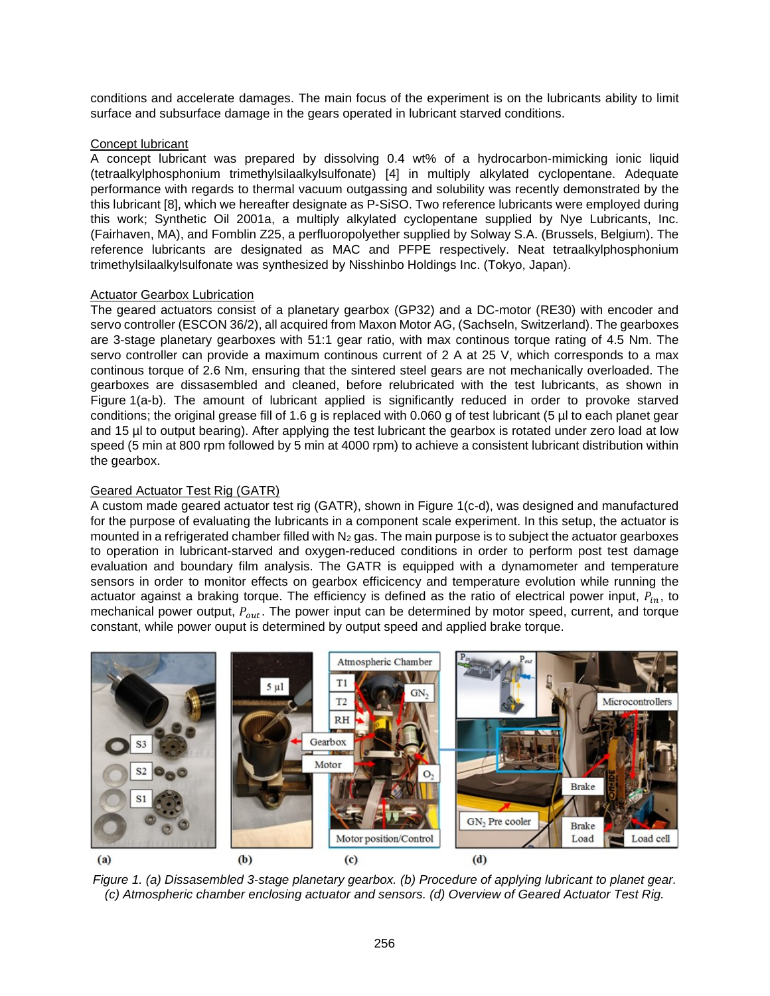conditions and accelerate damages. The main focus of the experiment is on the lubricants ability to limit surface and subsurface damage in the gears operated in lubricant starved conditions.

#### Concept lubricant

A concept lubricant was prepared by dissolving 0.4 wt% of a hydrocarbon-mimicking ionic liquid (tetraalkylphosphonium trimethylsilaalkylsulfonate) [4] in multiply alkylated cyclopentane. Adequate performance with regards to thermal vacuum outgassing and solubility was recently demonstrated by the this lubricant [8], which we hereafter designate as P-SiSO. Two reference lubricants were employed during this work; Synthetic Oil 2001a, a multiply alkylated cyclopentane supplied by Nye Lubricants, Inc. (Fairhaven, MA), and Fomblin Z25, a perfluoropolyether supplied by Solway S.A. (Brussels, Belgium). The reference lubricants are designated as MAC and PFPE respectively. Neat tetraalkylphosphonium trimethylsilaalkylsulfonate was synthesized by Nisshinbo Holdings Inc. (Tokyo, Japan).

## Actuator Gearbox Lubrication

The geared actuators consist of a planetary gearbox (GP32) and a DC-motor (RE30) with encoder and servo controller (ESCON 36/2), all acquired from Maxon Motor AG, (Sachseln, Switzerland). The gearboxes are 3-stage planetary gearboxes with 51:1 gear ratio, with max continous torque rating of 4.5 Nm. The servo controller can provide a maximum continous current of 2 A at 25 V, which corresponds to a max continous torque of 2.6 Nm, ensuring that the sintered steel gears are not mechanically overloaded. The gearboxes are dissasembled and cleaned, before relubricated with the test lubricants, as shown in [Figure](#page-1-0) 1(a-b). The amount of lubricant applied is significantly reduced in order to provoke starved conditions; the original grease fill of 1.6 g is replaced with 0.060 g of test lubricant (5 µl to each planet gear and 15 µl to output bearing). After applying the test lubricant the gearbox is rotated under zero load at low speed (5 min at 800 rpm followed by 5 min at 4000 rpm) to achieve a consistent lubricant distribution within the gearbox.

## Geared Actuator Test Rig (GATR)

A custom made geared actuator test rig (GATR), shown in [Figure 1\(](#page-1-0)c-d), was designed and manufactured for the purpose of evaluating the lubricants in a component scale experiment. In this setup, the actuator is mounted in a refrigerated chamber filled with  $N_2$  gas. The main purpose is to subject the actuator gearboxes to operation in lubricant-starved and oxygen-reduced conditions in order to perform post test damage evaluation and boundary film analysis. The GATR is equipped with a dynamometer and temperature sensors in order to monitor effects on gearbox efficicency and temperature evolution while running the actuator against a braking torque. The efficiency is defined as the ratio of electrical power input,  $P_{in}$ , to mechanical power output,  $P_{out}$ . The power input can be determined by motor speed, current, and torque constant, while power ouput is determined by output speed and applied brake torque.



<span id="page-1-0"></span>*Figure 1. (a) Dissasembled 3-stage planetary gearbox. (b) Procedure of applying lubricant to planet gear. (c) Atmospheric chamber enclosing actuator and sensors. (d) Overview of Geared Actuator Test Rig.*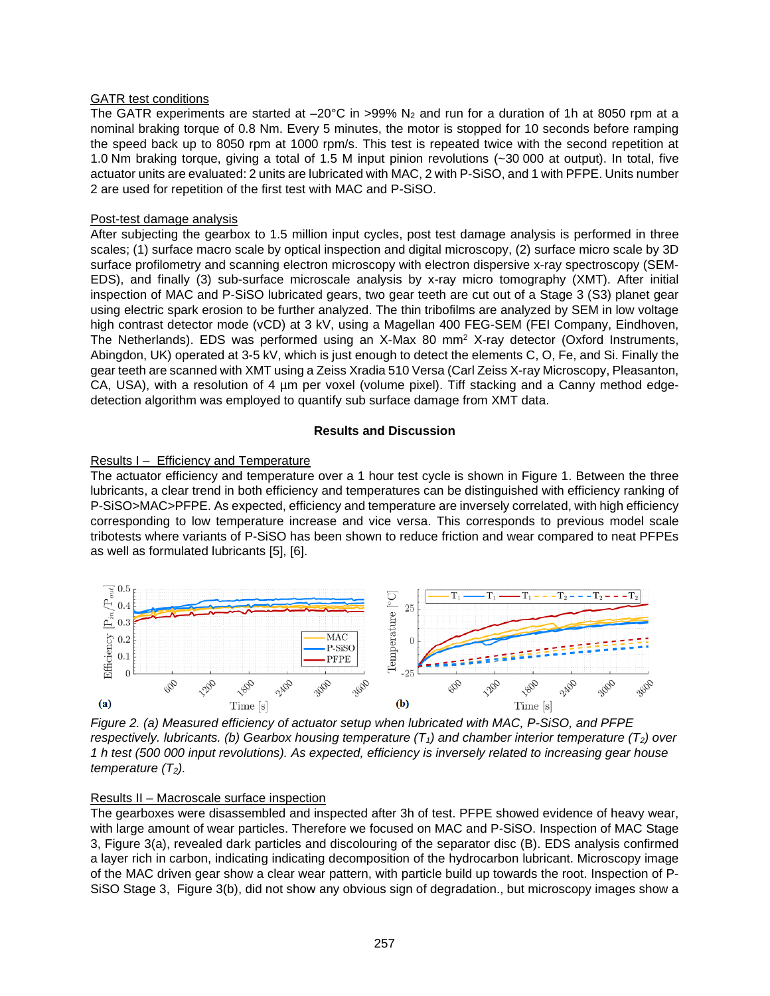## GATR test conditions

The GATR experiments are started at  $-20^{\circ}$ C in >99% N<sub>2</sub> and run for a duration of 1h at 8050 rpm at a nominal braking torque of 0.8 Nm. Every 5 minutes, the motor is stopped for 10 seconds before ramping the speed back up to 8050 rpm at 1000 rpm/s. This test is repeated twice with the second repetition at 1.0 Nm braking torque, giving a total of 1.5 M input pinion revolutions (~30 000 at output). In total, five actuator units are evaluated: 2 units are lubricated with MAC, 2 with P-SiSO, and 1 with PFPE. Units number 2 are used for repetition of the first test with MAC and P-SiSO.

## Post-test damage analysis

After subjecting the gearbox to 1.5 million input cycles, post test damage analysis is performed in three scales; (1) surface macro scale by optical inspection and digital microscopy, (2) surface micro scale by 3D surface profilometry and scanning electron microscopy with electron dispersive x-ray spectroscopy (SEM-EDS), and finally (3) sub-surface microscale analysis by x-ray micro tomography (XMT). After initial inspection of MAC and P-SiSO lubricated gears, two gear teeth are cut out of a Stage 3 (S3) planet gear using electric spark erosion to be further analyzed. The thin tribofilms are analyzed by SEM in low voltage high contrast detector mode (vCD) at 3 kV, using a Magellan 400 FEG-SEM (FEI Company, Eindhoven, The Netherlands). EDS was performed using an X-Max 80 mm2 X-ray detector (Oxford Instruments, Abingdon, UK) operated at 3-5 kV, which is just enough to detect the elements C, O, Fe, and Si. Finally the gear teeth are scanned with XMT using a Zeiss Xradia 510 Versa (Carl Zeiss X-ray Microscopy, Pleasanton, CA, USA), with a resolution of 4 um per voxel (volume pixel). Tiff stacking and a Canny method edgedetection algorithm was employed to quantify sub surface damage from XMT data.

#### **Results and Discussion**

# Results I – Efficiency and Temperature

The actuator efficiency and temperature over a 1 hour test cycle is shown in [Figure 1.](#page-1-0) Between the three lubricants, a clear trend in both efficiency and temperatures can be distinguished with efficiency ranking of P-SiSO>MAC>PFPE. As expected, efficiency and temperature are inversely correlated, with high efficiency corresponding to low temperature increase and vice versa. This corresponds to previous model scale tribotests where variants of P-SiSO has been shown to reduce friction and wear compared to neat PFPEs as well as formulated lubricants [5], [6].



*Figure 2. (a) Measured efficiency of actuator setup when lubricated with MAC, P-SiSO, and PFPE respectively. lubricants. (b) Gearbox housing temperature*  $(T_1)$  *and chamber interior temperature*  $(T_2)$  *over 1 h test (500 000 input revolutions). As expected, efficiency is inversely related to increasing gear house temperature*  $(T_2)$ .

#### Results II – Macroscale surface inspection

The gearboxes were disassembled and inspected after 3h of test. PFPE showed evidence of heavy wear, with large amount of wear particles. Therefore we focused on MAC and P-SiSO. Inspection of MAC Stage 3, [Figure 3\(](#page-3-0)a), revealed dark particles and discolouring of the separator disc (B). EDS analysis confirmed a layer rich in carbon, indicating indicating decomposition of the hydrocarbon lubricant. Microscopy image of the MAC driven gear show a clear wear pattern, with particle build up towards the root. Inspection of P-SiSO Stage 3, [Figure 3\(](#page-3-0)b), did not show any obvious sign of degradation., but microscopy images show a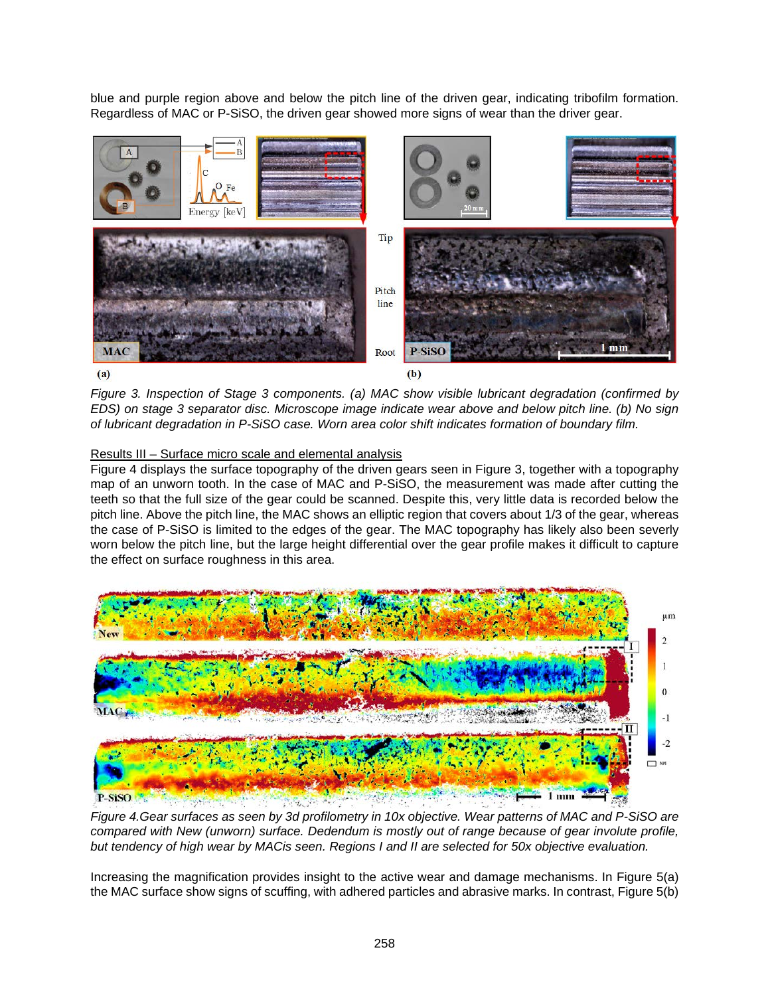blue and purple region above and below the pitch line of the driven gear, indicating tribofilm formation. Regardless of MAC or P-SiSO, the driven gear showed more signs of wear than the driver gear.



<span id="page-3-0"></span>*Figure 3. Inspection of Stage 3 components. (a) MAC show visible lubricant degradation (confirmed by EDS) on stage 3 separator disc. Microscope image indicate wear above and below pitch line. (b) No sign of lubricant degradation in P-SiSO case. Worn area color shift indicates formation of boundary film.* 

# Results III – Surface micro scale and elemental analysis

[Figure 4](#page-3-1) displays the surface topography of the driven gears seen in [Figure 3,](#page-3-0) together with a topography map of an unworn tooth. In the case of MAC and P-SiSO, the measurement was made after cutting the teeth so that the full size of the gear could be scanned. Despite this, very little data is recorded below the pitch line. Above the pitch line, the MAC shows an elliptic region that covers about 1/3 of the gear, whereas the case of P-SiSO is limited to the edges of the gear. The MAC topography has likely also been severly worn below the pitch line, but the large height differential over the gear profile makes it difficult to capture the effect on surface roughness in this area.



<span id="page-3-1"></span>*Figure 4.Gear surfaces as seen by 3d profilometry in 10x objective. Wear patterns of MAC and P-SiSO are compared with New (unworn) surface. Dedendum is mostly out of range because of gear involute profile, but tendency of high wear by MACis seen. Regions I and II are selected for 50x objective evaluation.* 

Increasing the magnification provides insight to the active wear and damage mechanisms. In [Figure 5\(](#page-4-0)a) the MAC surface show signs of scuffing, with adhered particles and abrasive marks. In contrast[, Figure 5\(](#page-4-0)b)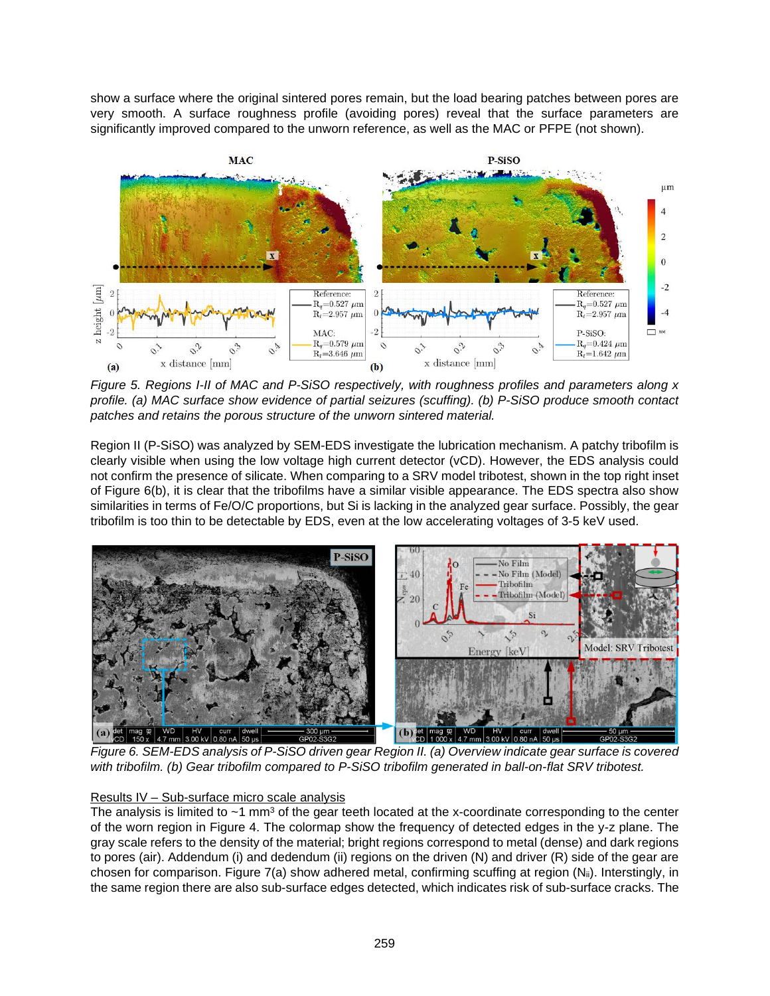show a surface where the original sintered pores remain, but the load bearing patches between pores are very smooth. A surface roughness profile (avoiding pores) reveal that the surface parameters are significantly improved compared to the unworn reference, as well as the MAC or PFPE (not shown).



<span id="page-4-0"></span>*Figure 5. Regions I-II of MAC and P-SiSO respectively, with roughness profiles and parameters along x profile. (a) MAC surface show evidence of partial seizures (scuffing). (b) P-SiSO produce smooth contact patches and retains the porous structure of the unworn sintered material.* 

Region II (P-SiSO) was analyzed by SEM-EDS investigate the lubrication mechanism. A patchy tribofilm is clearly visible when using the low voltage high current detector (vCD). However, the EDS analysis could not confirm the presence of silicate. When comparing to a SRV model tribotest, shown in the top right inset of [Figure 6\(](#page-4-1)b), it is clear that the tribofilms have a similar visible appearance. The EDS spectra also show similarities in terms of Fe/O/C proportions, but Si is lacking in the analyzed gear surface. Possibly, the gear tribofilm is too thin to be detectable by EDS, even at the low accelerating voltages of 3-5 keV used.



<span id="page-4-1"></span>*Figure 6. SEM-EDS analysis of P-SiSO driven gear Region II. (a) Overview indicate gear surface is covered with tribofilm. (b) Gear tribofilm compared to P-SiSO tribofilm generated in ball-on-flat SRV tribotest.* 

# Results IV – Sub-surface micro scale analysis

The analysis is limited to  $\sim$ 1 mm<sup>3</sup> of the gear teeth located at the x-coordinate corresponding to the center of the worn region in [Figure 4.](#page-3-1) The colormap show the frequency of detected edges in the y-z plane. The gray scale refers to the density of the material; bright regions correspond to metal (dense) and dark regions to pores (air). Addendum (i) and dedendum (ii) regions on the driven (N) and driver (R) side of the gear are chosen for comparison. [Figure 7\(](#page-5-0)a) show adhered metal, confirming scuffing at region  $(N_{ii})$ . Interstingly, in the same region there are also sub-surface edges detected, which indicates risk of sub-surface cracks. The